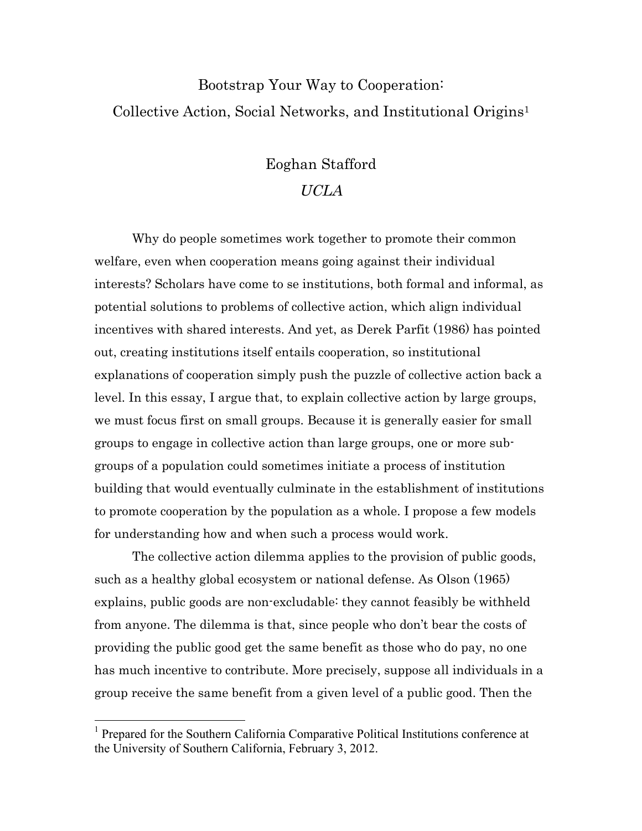# Bootstrap Your Way to Cooperation: Collective Action, Social Networks, and Institutional Origins1

## Eoghan Stafford

# UCLA

Why do people sometimes work together to promote their common welfare, even when cooperation means going against their individual interests? Scholars have come to se institutions, both formal and informal, as potential solutions to problems of collective action, which align individual incentives with shared interests. And yet, as Derek Parfit (1986) has pointed out, creating institutions itself entails cooperation, so institutional explanations of cooperation simply push the puzzle of collective action back a level. In this essay, I argue that, to explain collective action by large groups, we must focus first on small groups. Because it is generally easier for small groups to engage in collective action than large groups, one or more subgroups of a population could sometimes initiate a process of institution building that would eventually culminate in the establishment of institutions to promote cooperation by the population as a whole. I propose a few models for understanding how and when such a process would work.

The collective action dilemma applies to the provision of public goods, such as a healthy global ecosystem or national defense. As Olson (1965) explains, public goods are non-excludable: they cannot feasibly be withheld from anyone. The dilemma is that, since people who don't bear the costs of providing the public good get the same benefit as those who do pay, no one has much incentive to contribute. More precisely, suppose all individuals in a group receive the same benefit from a given level of a public good. Then the

<sup>&</sup>lt;sup>1</sup> Prepared for the Southern California Comparative Political Institutions conference at the University of Southern California, February 3, 2012.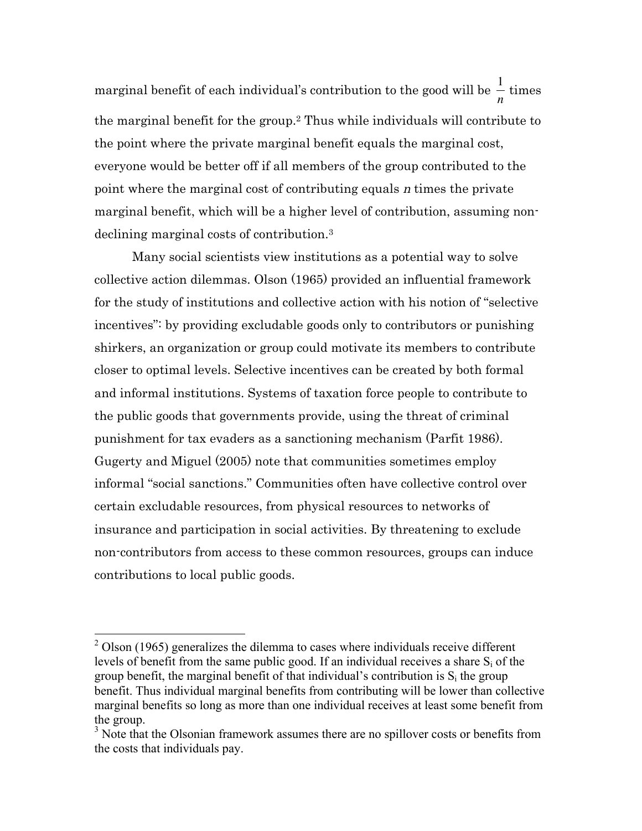marginal benefit of each individual's contribution to the good will be  $\frac{1}{\epsilon}$ € *n* times the marginal benefit for the group.2 Thus while individuals will contribute to the point where the private marginal benefit equals the marginal cost, everyone would be better off if all members of the group contributed to the point where the marginal cost of contributing equals n times the private marginal benefit, which will be a higher level of contribution, assuming nondeclining marginal costs of contribution.3

Many social scientists view institutions as a potential way to solve collective action dilemmas. Olson (1965) provided an influential framework for the study of institutions and collective action with his notion of "selective incentives": by providing excludable goods only to contributors or punishing shirkers, an organization or group could motivate its members to contribute closer to optimal levels. Selective incentives can be created by both formal and informal institutions. Systems of taxation force people to contribute to the public goods that governments provide, using the threat of criminal punishment for tax evaders as a sanctioning mechanism (Parfit 1986). Gugerty and Miguel (2005) note that communities sometimes employ informal "social sanctions." Communities often have collective control over certain excludable resources, from physical resources to networks of insurance and participation in social activities. By threatening to exclude non-contributors from access to these common resources, groups can induce contributions to local public goods.

<sup>&</sup>lt;sup>2</sup> Olson (1965) generalizes the dilemma to cases where individuals receive different levels of benefit from the same public good. If an individual receives a share  $S_i$  of the group benefit, the marginal benefit of that individual's contribution is  $S_i$  the group benefit. Thus individual marginal benefits from contributing will be lower than collective marginal benefits so long as more than one individual receives at least some benefit from the group.

<sup>&</sup>lt;sup>3</sup> Note that the Olsonian framework assumes there are no spillover costs or benefits from the costs that individuals pay.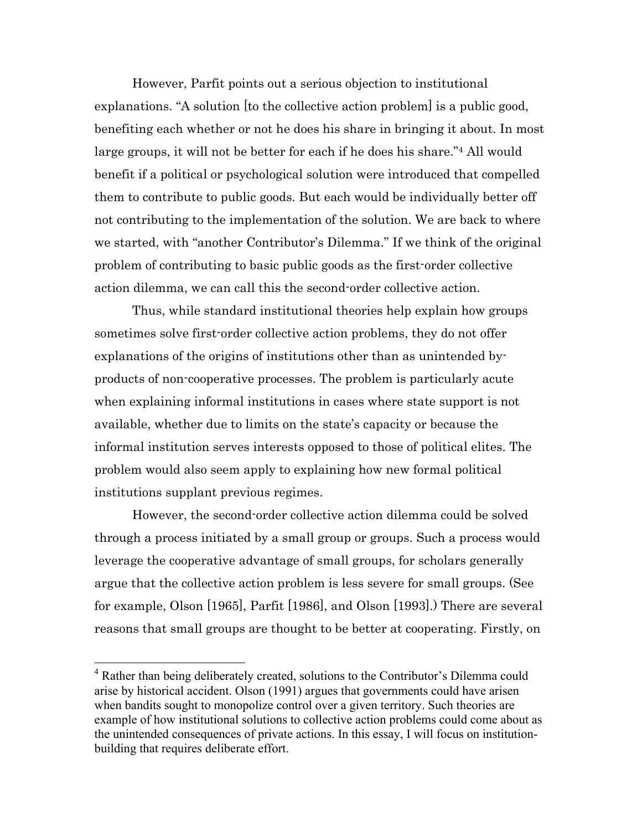However, Parfit points out a serious objection to institutional explanations. "A solution [to the collective action problem] is a public good, benefiting each whether or not he does his share in bringing it about. In most large groups, it will not be better for each if he does his share."4 All would benefit if a political or psychological solution were introduced that compelled them to contribute to public goods. But each would be individually better off not contributing to the implementation of the solution. We are back to where we started, with "another Contributor's Dilemma." If we think of the original problem of contributing to basic public goods as the first-order collective action dilemma, we can call this the second-order collective action.

Thus, while standard institutional theories help explain how groups sometimes solve first-order collective action problems, they do not offer explanations of the origins of institutions other than as unintended byproducts of non-cooperative processes. The problem is particularly acute when explaining informal institutions in cases where state support is not available, whether due to limits on the state's capacity or because the informal institution serves interests opposed to those of political elites. The problem would also seem apply to explaining how new formal political institutions supplant previous regimes.

However, the second-order collective action dilemma could be solved through a process initiated by a small group or groups. Such a process would leverage the cooperative advantage of small groups, for scholars generally argue that the collective action problem is less severe for small groups. (See for example, Olson [1965], Parfit [1986], and Olson [1993].) There are several reasons that small groups are thought to be better at cooperating. Firstly, on

 <sup>4</sup> Rather than being deliberately created, solutions to the Contributor's Dilemma could arise by historical accident. Olson (1991) argues that governments could have arisen when bandits sought to monopolize control over a given territory. Such theories are example of how institutional solutions to collective action problems could come about as the unintended consequences of private actions. In this essay, I will focus on institutionbuilding that requires deliberate effort.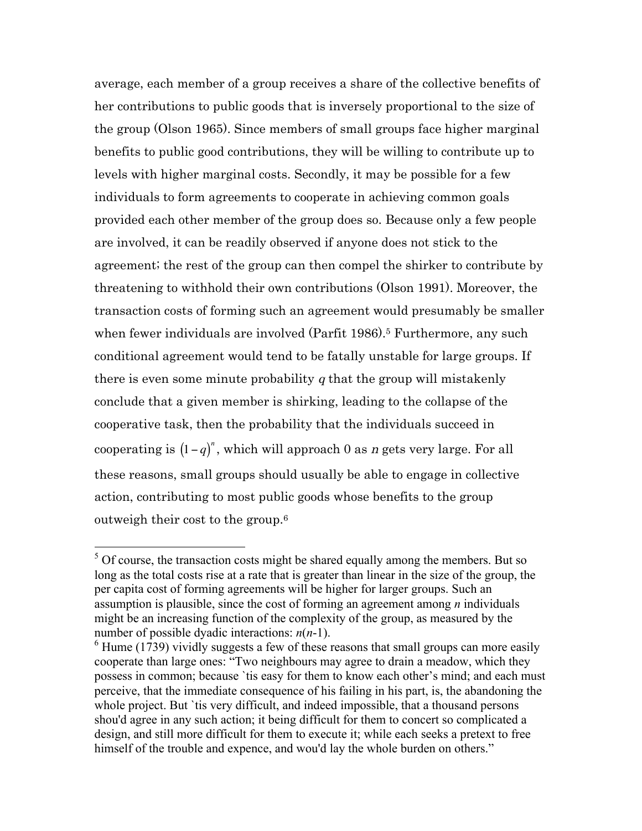average, each member of a group receives a share of the collective benefits of her contributions to public goods that is inversely proportional to the size of the group (Olson 1965). Since members of small groups face higher marginal benefits to public good contributions, they will be willing to contribute up to levels with higher marginal costs. Secondly, it may be possible for a few individuals to form agreements to cooperate in achieving common goals provided each other member of the group does so. Because only a few people are involved, it can be readily observed if anyone does not stick to the agreement; the rest of the group can then compel the shirker to contribute by threatening to withhold their own contributions (Olson 1991). Moreover, the transaction costs of forming such an agreement would presumably be smaller when fewer individuals are involved (Parfit 1986).<sup>5</sup> Furthermore, any such conditional agreement would tend to be fatally unstable for large groups. If there is even some minute probability  $q$  that the group will mistakenly conclude that a given member is shirking, leading to the collapse of the cooperative task, then the probability that the individuals succeed in cooperating is  $(1 - q)^n$ , which will approach 0 as *n* gets very large. For all  $\ddot{\phantom{0}}$ these reasons, small groups should usually be able to engage in collective action, contributing to most public goods whose benefits to the group outweigh their cost to the group.6

<sup>&</sup>lt;sup>5</sup> Of course, the transaction costs might be shared equally among the members. But so long as the total costs rise at a rate that is greater than linear in the size of the group, the per capita cost of forming agreements will be higher for larger groups. Such an assumption is plausible, since the cost of forming an agreement among *n* individuals might be an increasing function of the complexity of the group, as measured by the number of possible dyadic interactions: *n*(*n*-1).

 $6$  Hume (1739) vividly suggests a few of these reasons that small groups can more easily cooperate than large ones: "Two neighbours may agree to drain a meadow, which they possess in common; because `tis easy for them to know each other's mind; and each must perceive, that the immediate consequence of his failing in his part, is, the abandoning the whole project. But 'tis very difficult, and indeed impossible, that a thousand persons shou'd agree in any such action; it being difficult for them to concert so complicated a design, and still more difficult for them to execute it; while each seeks a pretext to free himself of the trouble and expence, and wou'd lay the whole burden on others."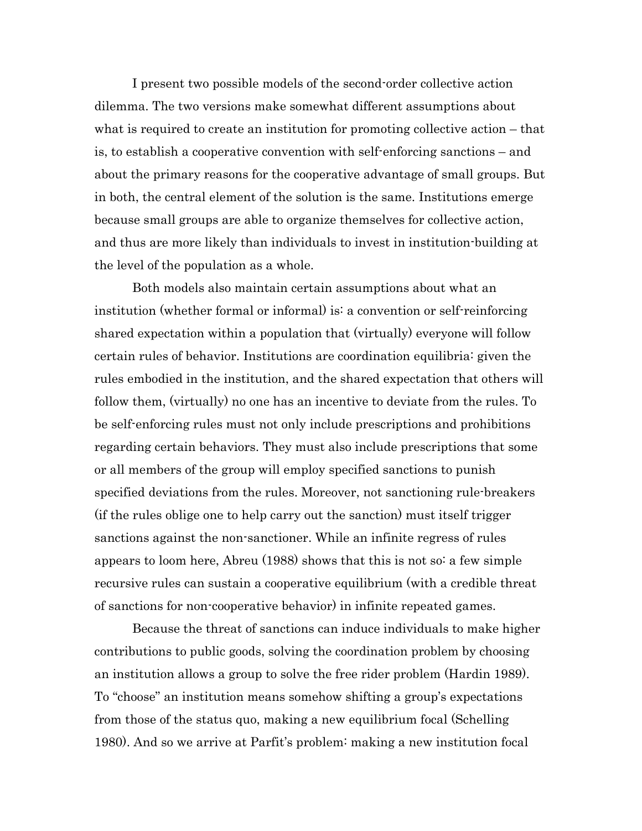I present two possible models of the second-order collective action dilemma. The two versions make somewhat different assumptions about what is required to create an institution for promoting collective action – that is, to establish a cooperative convention with self-enforcing sanctions – and about the primary reasons for the cooperative advantage of small groups. But in both, the central element of the solution is the same. Institutions emerge because small groups are able to organize themselves for collective action, and thus are more likely than individuals to invest in institution-building at the level of the population as a whole.

Both models also maintain certain assumptions about what an institution (whether formal or informal) is: a convention or self-reinforcing shared expectation within a population that (virtually) everyone will follow certain rules of behavior. Institutions are coordination equilibria: given the rules embodied in the institution, and the shared expectation that others will follow them, (virtually) no one has an incentive to deviate from the rules. To be self-enforcing rules must not only include prescriptions and prohibitions regarding certain behaviors. They must also include prescriptions that some or all members of the group will employ specified sanctions to punish specified deviations from the rules. Moreover, not sanctioning rule-breakers (if the rules oblige one to help carry out the sanction) must itself trigger sanctions against the non-sanctioner. While an infinite regress of rules appears to loom here, Abreu (1988) shows that this is not so: a few simple recursive rules can sustain a cooperative equilibrium (with a credible threat of sanctions for non-cooperative behavior) in infinite repeated games.

Because the threat of sanctions can induce individuals to make higher contributions to public goods, solving the coordination problem by choosing an institution allows a group to solve the free rider problem (Hardin 1989). To "choose" an institution means somehow shifting a group's expectations from those of the status quo, making a new equilibrium focal (Schelling 1980). And so we arrive at Parfit's problem: making a new institution focal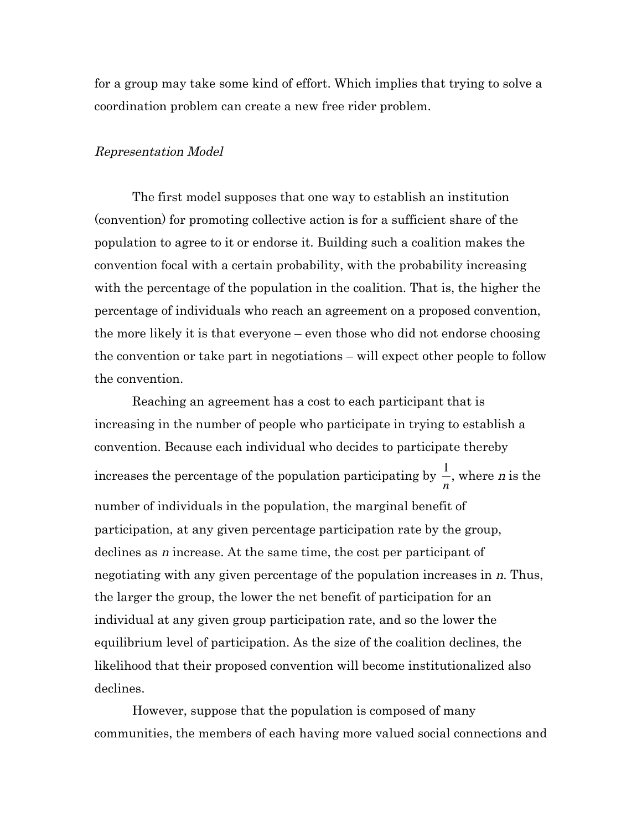for a group may take some kind of effort. Which implies that trying to solve a coordination problem can create a new free rider problem.

#### Representation Model

The first model supposes that one way to establish an institution (convention) for promoting collective action is for a sufficient share of the population to agree to it or endorse it. Building such a coalition makes the convention focal with a certain probability, with the probability increasing with the percentage of the population in the coalition. That is, the higher the percentage of individuals who reach an agreement on a proposed convention, the more likely it is that everyone – even those who did not endorse choosing the convention or take part in negotiations – will expect other people to follow the convention.

Reaching an agreement has a cost to each participant that is increasing in the number of people who participate in trying to establish a convention. Because each individual who decides to participate thereby increases the percentage of the population participating by  $\frac{1}{\sqrt{2}}$ € *n* , where n is the number of individuals in the population, the marginal benefit of participation, at any given percentage participation rate by the group, declines as n increase. At the same time, the cost per participant of negotiating with any given percentage of the population increases in n. Thus, the larger the group, the lower the net benefit of participation for an individual at any given group participation rate, and so the lower the equilibrium level of participation. As the size of the coalition declines, the likelihood that their proposed convention will become institutionalized also declines.

However, suppose that the population is composed of many communities, the members of each having more valued social connections and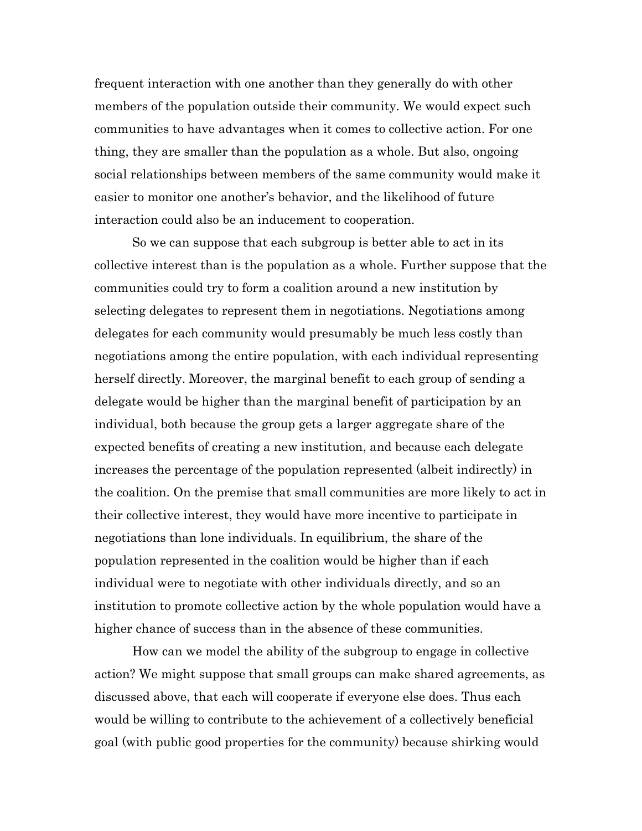frequent interaction with one another than they generally do with other members of the population outside their community. We would expect such communities to have advantages when it comes to collective action. For one thing, they are smaller than the population as a whole. But also, ongoing social relationships between members of the same community would make it easier to monitor one another's behavior, and the likelihood of future interaction could also be an inducement to cooperation.

So we can suppose that each subgroup is better able to act in its collective interest than is the population as a whole. Further suppose that the communities could try to form a coalition around a new institution by selecting delegates to represent them in negotiations. Negotiations among delegates for each community would presumably be much less costly than negotiations among the entire population, with each individual representing herself directly. Moreover, the marginal benefit to each group of sending a delegate would be higher than the marginal benefit of participation by an individual, both because the group gets a larger aggregate share of the expected benefits of creating a new institution, and because each delegate increases the percentage of the population represented (albeit indirectly) in the coalition. On the premise that small communities are more likely to act in their collective interest, they would have more incentive to participate in negotiations than lone individuals. In equilibrium, the share of the population represented in the coalition would be higher than if each individual were to negotiate with other individuals directly, and so an institution to promote collective action by the whole population would have a higher chance of success than in the absence of these communities.

How can we model the ability of the subgroup to engage in collective action? We might suppose that small groups can make shared agreements, as discussed above, that each will cooperate if everyone else does. Thus each would be willing to contribute to the achievement of a collectively beneficial goal (with public good properties for the community) because shirking would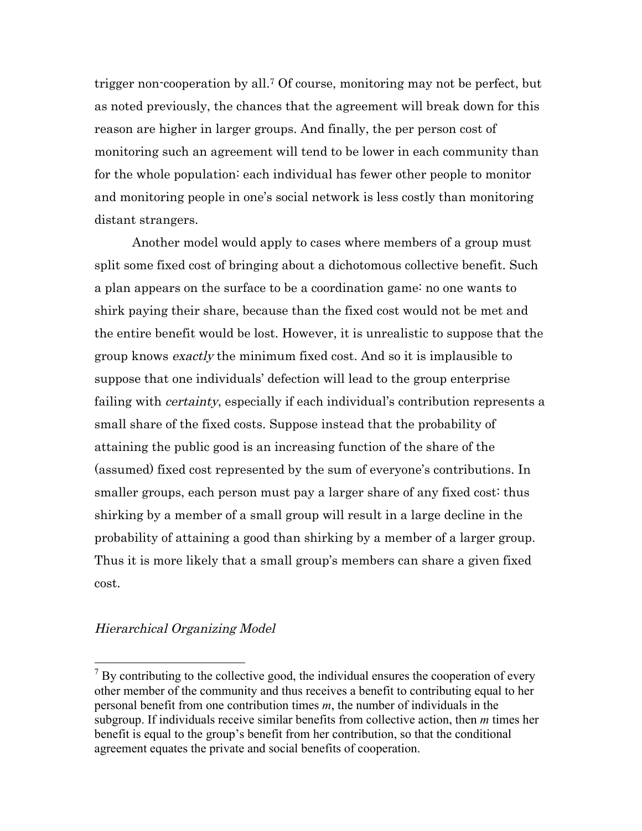trigger non-cooperation by all.7 Of course, monitoring may not be perfect, but as noted previously, the chances that the agreement will break down for this reason are higher in larger groups. And finally, the per person cost of monitoring such an agreement will tend to be lower in each community than for the whole population: each individual has fewer other people to monitor and monitoring people in one's social network is less costly than monitoring distant strangers.

Another model would apply to cases where members of a group must split some fixed cost of bringing about a dichotomous collective benefit. Such a plan appears on the surface to be a coordination game: no one wants to shirk paying their share, because than the fixed cost would not be met and the entire benefit would be lost. However, it is unrealistic to suppose that the group knows exactly the minimum fixed cost. And so it is implausible to suppose that one individuals' defection will lead to the group enterprise failing with *certainty*, especially if each individual's contribution represents a small share of the fixed costs. Suppose instead that the probability of attaining the public good is an increasing function of the share of the (assumed) fixed cost represented by the sum of everyone's contributions. In smaller groups, each person must pay a larger share of any fixed cost: thus shirking by a member of a small group will result in a large decline in the probability of attaining a good than shirking by a member of a larger group. Thus it is more likely that a small group's members can share a given fixed cost.

## Hierarchical Organizing Model

<sup>&</sup>lt;sup>7</sup> By contributing to the collective good, the individual ensures the cooperation of every other member of the community and thus receives a benefit to contributing equal to her personal benefit from one contribution times *m*, the number of individuals in the subgroup. If individuals receive similar benefits from collective action, then *m* times her benefit is equal to the group's benefit from her contribution, so that the conditional agreement equates the private and social benefits of cooperation.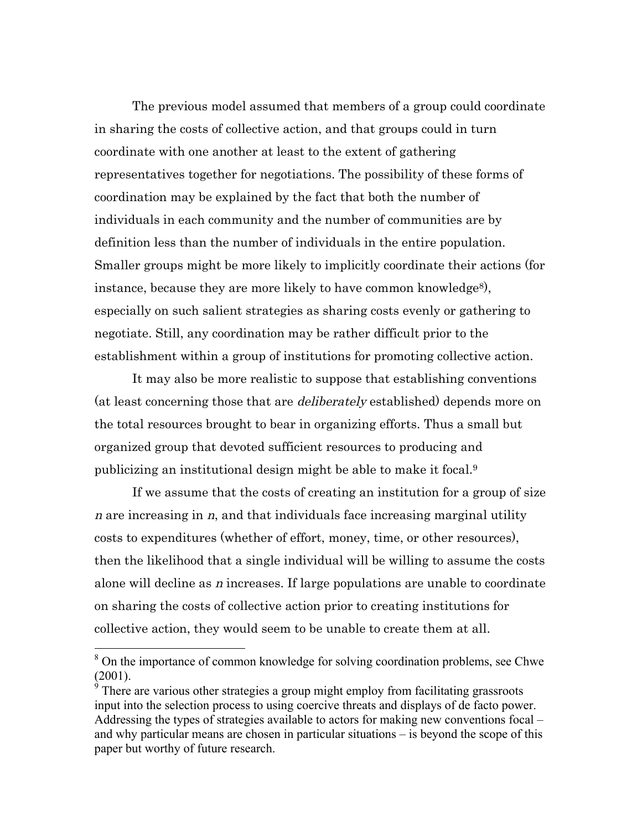The previous model assumed that members of a group could coordinate in sharing the costs of collective action, and that groups could in turn coordinate with one another at least to the extent of gathering representatives together for negotiations. The possibility of these forms of coordination may be explained by the fact that both the number of individuals in each community and the number of communities are by definition less than the number of individuals in the entire population. Smaller groups might be more likely to implicitly coordinate their actions (for instance, because they are more likely to have common knowledge<sup>8</sup>), especially on such salient strategies as sharing costs evenly or gathering to negotiate. Still, any coordination may be rather difficult prior to the establishment within a group of institutions for promoting collective action.

It may also be more realistic to suppose that establishing conventions (at least concerning those that are deliberately established) depends more on the total resources brought to bear in organizing efforts. Thus a small but organized group that devoted sufficient resources to producing and publicizing an institutional design might be able to make it focal.9

If we assume that the costs of creating an institution for a group of size n are increasing in  $n$ , and that individuals face increasing marginal utility costs to expenditures (whether of effort, money, time, or other resources), then the likelihood that a single individual will be willing to assume the costs alone will decline as n increases. If large populations are unable to coordinate on sharing the costs of collective action prior to creating institutions for collective action, they would seem to be unable to create them at all.

<sup>&</sup>lt;sup>8</sup> On the importance of common knowledge for solving coordination problems, see Chwe (2001).

 $\frac{9}{9}$  There are various other strategies a group might employ from facilitating grassroots input into the selection process to using coercive threats and displays of de facto power. Addressing the types of strategies available to actors for making new conventions focal – and why particular means are chosen in particular situations – is beyond the scope of this paper but worthy of future research.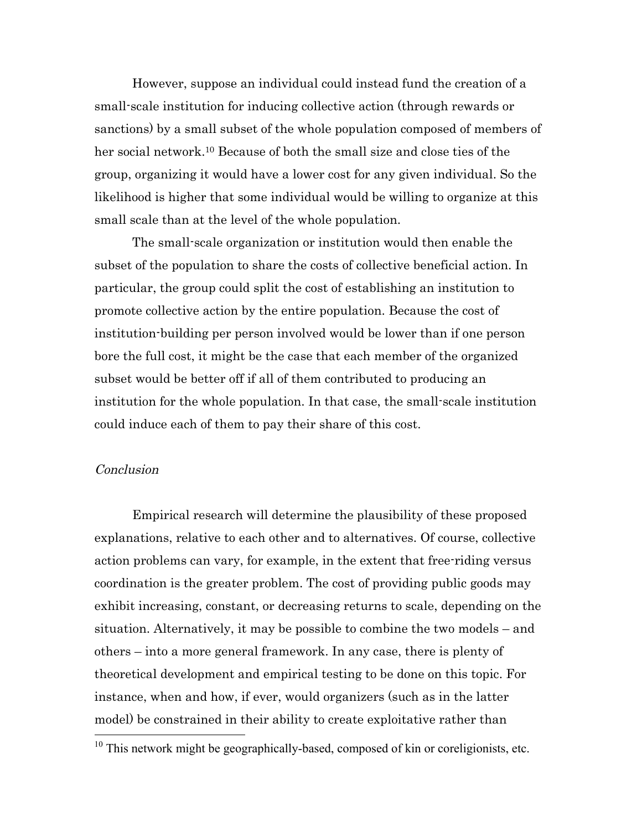However, suppose an individual could instead fund the creation of a small-scale institution for inducing collective action (through rewards or sanctions) by a small subset of the whole population composed of members of her social network.<sup>10</sup> Because of both the small size and close ties of the group, organizing it would have a lower cost for any given individual. So the likelihood is higher that some individual would be willing to organize at this small scale than at the level of the whole population.

The small-scale organization or institution would then enable the subset of the population to share the costs of collective beneficial action. In particular, the group could split the cost of establishing an institution to promote collective action by the entire population. Because the cost of institution-building per person involved would be lower than if one person bore the full cost, it might be the case that each member of the organized subset would be better off if all of them contributed to producing an institution for the whole population. In that case, the small-scale institution could induce each of them to pay their share of this cost.

### Conclusion

Empirical research will determine the plausibility of these proposed explanations, relative to each other and to alternatives. Of course, collective action problems can vary, for example, in the extent that free-riding versus coordination is the greater problem. The cost of providing public goods may exhibit increasing, constant, or decreasing returns to scale, depending on the situation. Alternatively, it may be possible to combine the two models – and others – into a more general framework. In any case, there is plenty of theoretical development and empirical testing to be done on this topic. For instance, when and how, if ever, would organizers (such as in the latter model) be constrained in their ability to create exploitative rather than

 $10$  This network might be geographically-based, composed of kin or coreligionists, etc.